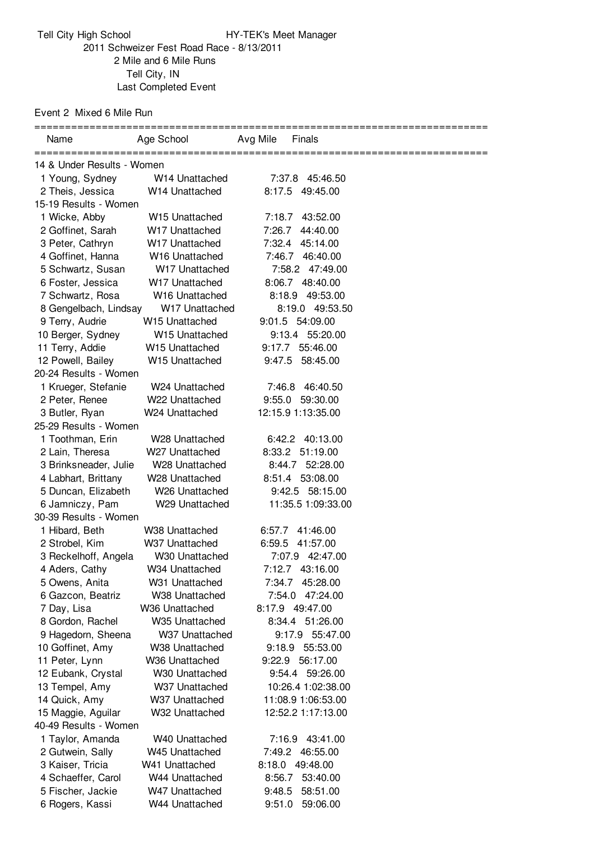Tell City High School HY-TEK's Meet Manager Schweizer Fest Road Race - 8/13/2011 Mile and 6 Mile Runs Tell City, IN Last Completed Event

Event 2 Mixed 6 Mile Run

| Name                       | Age School                 | Avg Mile<br>Finals |  |
|----------------------------|----------------------------|--------------------|--|
| 14 & Under Results - Women |                            |                    |  |
| 1 Young, Sydney            | W14 Unattached             | 7:37.8 45:46.50    |  |
| 2 Theis, Jessica           | W14 Unattached             | 8:17.5 49:45.00    |  |
| 15-19 Results - Women      |                            |                    |  |
| 1 Wicke, Abby              | W <sub>15</sub> Unattached | 7:18.7 43:52.00    |  |
| 2 Goffinet, Sarah          | W17 Unattached             | 7:26.7<br>44:40.00 |  |
| 3 Peter, Cathryn           | W17 Unattached             | 7:32.4<br>45:14.00 |  |
| 4 Goffinet, Hanna          | W16 Unattached             | 7:46.7<br>46:40.00 |  |
| 5 Schwartz, Susan          | W17 Unattached             | 7:58.2 47:49.00    |  |
| 6 Foster, Jessica          | W17 Unattached             | 8:06.7 48:40.00    |  |
| 7 Schwartz, Rosa           | W16 Unattached             | 8:18.9 49:53.00    |  |
| 8 Gengelbach, Lindsay      | W17 Unattached             | 8:19.0 49:53.50    |  |
| 9 Terry, Audrie            | W15 Unattached             | 9:01.5 54:09.00    |  |
| 10 Berger, Sydney          | W15 Unattached             | 9:13.4 55:20.00    |  |
| 11 Terry, Addie            | W15 Unattached             | 9:17.7 55:46.00    |  |
| 12 Powell, Bailey          | W15 Unattached             | 9:47.5 58:45.00    |  |
| 20-24 Results - Women      |                            |                    |  |
| 1 Krueger, Stefanie        | W24 Unattached             | 7:46.8 46:40.50    |  |
| 2 Peter, Renee             | W22 Unattached             | 9:55.0<br>59:30.00 |  |
| 3 Butler, Ryan             | W24 Unattached             | 12:15.9 1:13:35.00 |  |
| 25-29 Results - Women      |                            |                    |  |
| 1 Toothman, Erin           | W28 Unattached             | 6:42.2 40:13.00    |  |
| 2 Lain, Theresa            | W27 Unattached             | 8:33.2 51:19.00    |  |
| 3 Brinksneader, Julie      | W28 Unattached             | 52:28.00<br>8:44.7 |  |
| 4 Labhart, Brittany        | W28 Unattached             | 8:51.4 53:08.00    |  |
| 5 Duncan, Elizabeth        | W26 Unattached             | 9:42.5 58:15.00    |  |
| 6 Jamniczy, Pam            | W29 Unattached             | 11:35.5 1:09:33.00 |  |
| 30-39 Results - Women      |                            |                    |  |
| 1 Hibard, Beth             | W38 Unattached             | 6:57.7<br>41:46.00 |  |
| 2 Strobel, Kim             | W37 Unattached             | 6:59.5<br>41:57.00 |  |
| 3 Reckelhoff, Angela       | W30 Unattached             | 7:07.9 42:47.00    |  |
| 4 Aders, Cathy             | W34 Unattached             | 7:12.7 43:16.00    |  |
| 5 Owens, Anita             | W31 Unattached             | 7:34.7 45:28.00    |  |
| 6 Gazcon, Beatriz          | W38 Unattached             | 47:24.00<br>7:54.0 |  |
| 7 Day, Lisa                | W36 Unattached             | 8:17.9 49:47.00    |  |
| 8 Gordon, Rachel           | W <sub>35</sub> Unattached | 8:34.4 51:26.00    |  |
| 9 Hagedorn, Sheena         | W37 Unattached             | 55:47.00<br>9:17.9 |  |
| 10 Goffinet, Amy           | W38 Unattached             | 9:18.9 55:53.00    |  |
| 11 Peter, Lynn             | W36 Unattached             | 9:22.9 56:17.00    |  |
| 12 Eubank, Crystal         | W30 Unattached             | 9:54.4 59:26.00    |  |
| 13 Tempel, Amy             | W37 Unattached             | 10:26.4 1:02:38.00 |  |
| 14 Quick, Amy              | W37 Unattached             | 11:08.9 1:06:53.00 |  |
| 15 Maggie, Aguilar         | W32 Unattached             | 12:52.2 1:17:13.00 |  |
| 40-49 Results - Women      |                            |                    |  |
| 1 Taylor, Amanda           | W40 Unattached             | 7:16.9 43:41.00    |  |
| 2 Gutwein, Sally           | W45 Unattached             | 7:49.2 46:55.00    |  |
| 3 Kaiser, Tricia           | W41 Unattached             | 8:18.0 49:48.00    |  |
| 4 Schaeffer, Carol         | W44 Unattached             | 8:56.7<br>53:40.00 |  |
| 5 Fischer, Jackie          | W47 Unattached             | 9:48.5<br>58:51.00 |  |
| 6 Rogers, Kassi            | W44 Unattached             | 9:51.0<br>59:06.00 |  |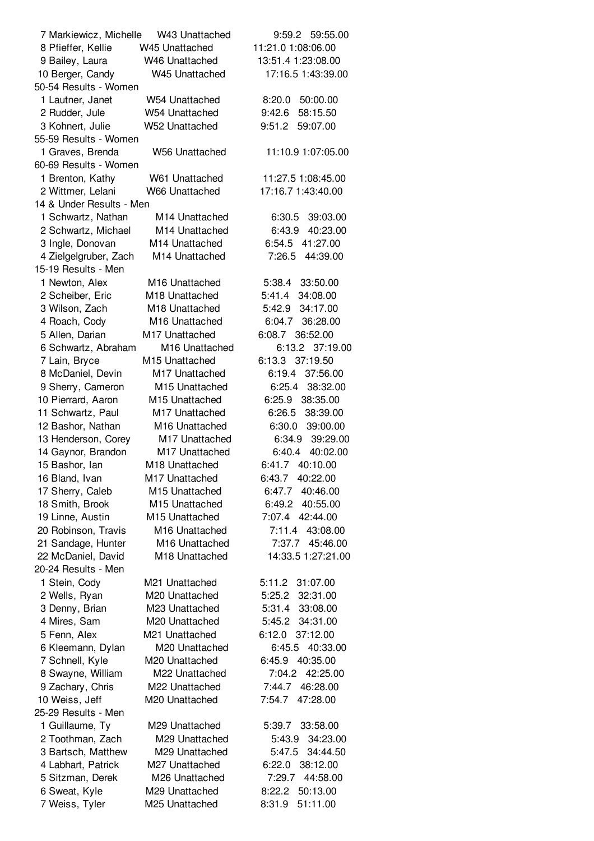| 7 Markiewicz, Michelle W43 Unattached |                                  | 9:59.2 59:55.00                    |  |
|---------------------------------------|----------------------------------|------------------------------------|--|
| 8 Pfieffer, Kellie                    | W45 Unattached                   | 11:21.0 1:08:06.00                 |  |
| 9 Bailey, Laura                       | W46 Unattached                   | 13:51.4 1:23:08.00                 |  |
| 10 Berger, Candy                      | W45 Unattached                   | 17:16.5 1:43:39.00                 |  |
| 50-54 Results - Women                 |                                  |                                    |  |
| 1 Lautner, Janet                      | W54 Unattached                   | 8:20.0 50:00.00                    |  |
| 2 Rudder, Jule                        | W54 Unattached                   | 9:42.6 58:15.50                    |  |
| 3 Kohnert, Julie                      | W52 Unattached                   | 9:51.2 59:07.00                    |  |
| 55-59 Results - Women                 |                                  |                                    |  |
| 1 Graves, Brenda                      | W56 Unattached                   | 11:10.9 1:07:05.00                 |  |
| 60-69 Results - Women                 |                                  |                                    |  |
| 1 Brenton, Kathy                      | W61 Unattached                   | 11:27.5 1:08:45.00                 |  |
| 2 Wittmer, Lelani                     | W66 Unattached                   | 17:16.7 1:43:40.00                 |  |
| 14 & Under Results - Men              |                                  |                                    |  |
| 1 Schwartz, Nathan                    | M14 Unattached                   | 6:30.5 39:03.00                    |  |
| 2 Schwartz, Michael                   | M14 Unattached                   | 6:43.9 40:23.00                    |  |
| 3 Ingle, Donovan                      | M14 Unattached                   | 6:54.5 41:27.00                    |  |
| 4 Zielgelgruber, Zach                 | M14 Unattached                   | 7:26.5 44:39.00                    |  |
| 15-19 Results - Men                   |                                  |                                    |  |
| 1 Newton, Alex                        | M16 Unattached                   | 5:38.4 33:50.00                    |  |
| 2 Scheiber, Eric                      | M <sub>18</sub> Unattached       | 5:41.4 34:08.00                    |  |
| 3 Wilson, Zach                        | M <sub>18</sub> Unattached       | 5:42.9 34:17.00                    |  |
| 4 Roach, Cody                         | M <sub>16</sub> Unattached       | 6:04.7 36:28.00                    |  |
| 5 Allen, Darian                       | M17 Unattached                   | 6:08.7 36:52.00                    |  |
| 6 Schwartz, Abraham                   | M16 Unattached                   | 6:13.2 37:19.00                    |  |
| 7 Lain, Bryce                         | M15 Unattached                   | 6:13.3 37:19.50                    |  |
| 8 McDaniel, Devin                     | M17 Unattached                   | 6:19.4 37:56.00                    |  |
| 9 Sherry, Cameron                     | M <sub>15</sub> Unattached       | 6:25.4 38:32.00                    |  |
| 10 Pierrard, Aaron                    | M <sub>15</sub> Unattached       | 6:25.9 38:35.00                    |  |
| 11 Schwartz, Paul                     | M17 Unattached                   | 6:26.5 38:39.00                    |  |
| 12 Bashor, Nathan                     | M16 Unattached                   | 6:30.0 39:00.00                    |  |
| 13 Henderson, Corey                   | M17 Unattached<br>M17 Unattached | 6:34.9 39:29.00                    |  |
| 14 Gaynor, Brandon<br>15 Bashor, lan  | M18 Unattached                   | 6:40.4 40:02.00<br>6:41.7 40:10.00 |  |
| 16 Bland, Ivan                        | M17 Unattached                   | 6:43.7 40:22.00                    |  |
| 17 Sherry, Caleb                      | M15 Unattached                   | 6:47.7 40:46.00                    |  |
| 18 Smith, Brook                       | M15 Unattached                   | 6:49.2<br>40:55.00                 |  |
| 19 Linne, Austin                      | M <sub>15</sub> Unattached       | 7:07.4<br>42:44.00                 |  |
| 20 Robinson, Travis                   | M16 Unattached                   | 7:11.4 43:08.00                    |  |
| 21 Sandage, Hunter                    | M16 Unattached                   | 7:37.7 45:46.00                    |  |
| 22 McDaniel, David                    | M18 Unattached                   | 14:33.5 1:27:21.00                 |  |
| 20-24 Results - Men                   |                                  |                                    |  |
| 1 Stein, Cody                         | M21 Unattached                   | 5:11.2 31:07.00                    |  |
| 2 Wells, Ryan                         | M20 Unattached                   | 32:31.00<br>5:25.2                 |  |
| 3 Denny, Brian                        | M23 Unattached                   | 5:31.4 33:08.00                    |  |
| 4 Mires, Sam                          | M20 Unattached                   | 5:45.2 34:31.00                    |  |
| 5 Fenn, Alex                          | M21 Unattached                   | 6:12.0 37:12.00                    |  |
| 6 Kleemann, Dylan                     | M20 Unattached                   | 6:45.5 40:33.00                    |  |
| 7 Schnell, Kyle                       | M20 Unattached                   | 6:45.9 40:35.00                    |  |
| 8 Swayne, William                     | M22 Unattached                   | 7:04.2 42:25.00                    |  |
| 9 Zachary, Chris                      | M22 Unattached                   | 7:44.7 46:28.00                    |  |
| 10 Weiss, Jeff                        | M20 Unattached                   | 7:54.7<br>47:28.00                 |  |
| 25-29 Results - Men                   |                                  |                                    |  |
| 1 Guillaume, Ty                       | M29 Unattached                   | 5:39.7 33:58.00                    |  |
| 2 Toothman, Zach                      | M29 Unattached                   | 5:43.9<br>34:23.00                 |  |
| 3 Bartsch, Matthew                    | M29 Unattached                   | 5:47.5 34:44.50                    |  |
| 4 Labhart, Patrick                    | M27 Unattached                   | 6:22.0 38:12.00                    |  |
| 5 Sitzman, Derek                      | M26 Unattached                   | 44:58.00<br>7:29.7                 |  |
| 6 Sweat, Kyle                         | M29 Unattached                   | 8:22.2 50:13.00                    |  |
| 7 Weiss, Tyler                        | M25 Unattached                   | 51:11.00<br>8:31.9                 |  |
|                                       |                                  |                                    |  |